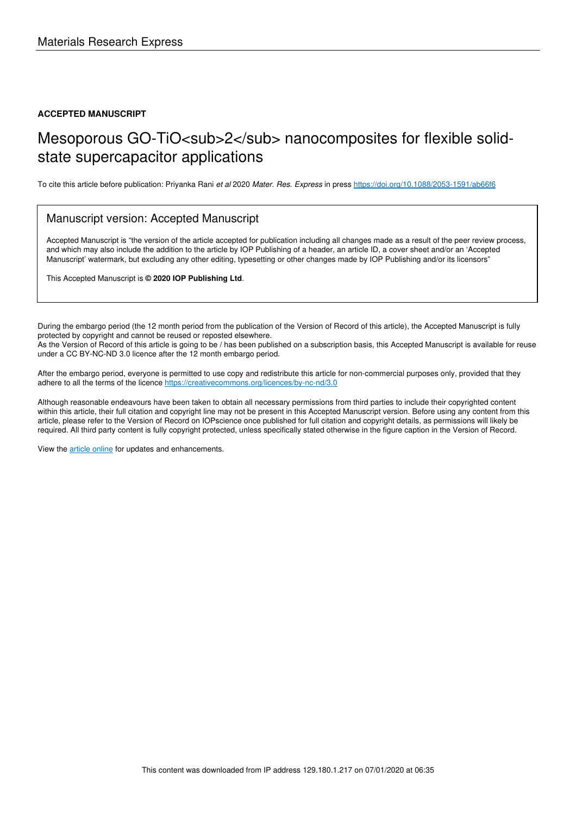#### **ACCEPTED MANUSCRIPT**

# Mesoporous GO-TiO<sub>2</sub> nanocomposites for flexible solidstate supercapacitor applications

To cite this article before publication: Priyanka Rani et al 2020 Mater. Res. Express in press https://doi.org/10.1088/2053-1591/ab66f6

#### Manuscript version: Accepted Manuscript

Accepted Manuscript is "the version of the article accepted for publication including all changes made as a result of the peer review process, and which may also include the addition to the article by IOP Publishing of a header, an article ID, a cover sheet and/or an 'Accepted Manuscript' watermark, but excluding any other editing, typesetting or other changes made by IOP Publishing and/or its licensors"

This Accepted Manuscript is **© 2020 IOP Publishing Ltd**.

During the embargo period (the 12 month period from the publication of the Version of Record of this article), the Accepted Manuscript is fully protected by copyright and cannot be reused or reposted elsewhere. As the Version of Record of this article is going to be / has been published on a subscription basis, this Accepted Manuscript is available for reuse

under a CC BY-NC-ND 3.0 licence after the 12 month embargo period.

After the embargo period, everyone is permitted to use copy and redistribute this article for non-commercial purposes only, provided that they adhere to all the terms of the licence https://creativecommons.org/licences/by-nc-nd/3.0

Although reasonable endeavours have been taken to obtain all necessary permissions from third parties to include their copyrighted content within this article, their full citation and copyright line may not be present in this Accepted Manuscript version. Before using any content from this article, please refer to the Version of Record on IOPscience once published for full citation and copyright details, as permissions will likely be required. All third party content is fully copyright protected, unless specifically stated otherwise in the figure caption in the Version of Record.

View the article online for updates and enhancements.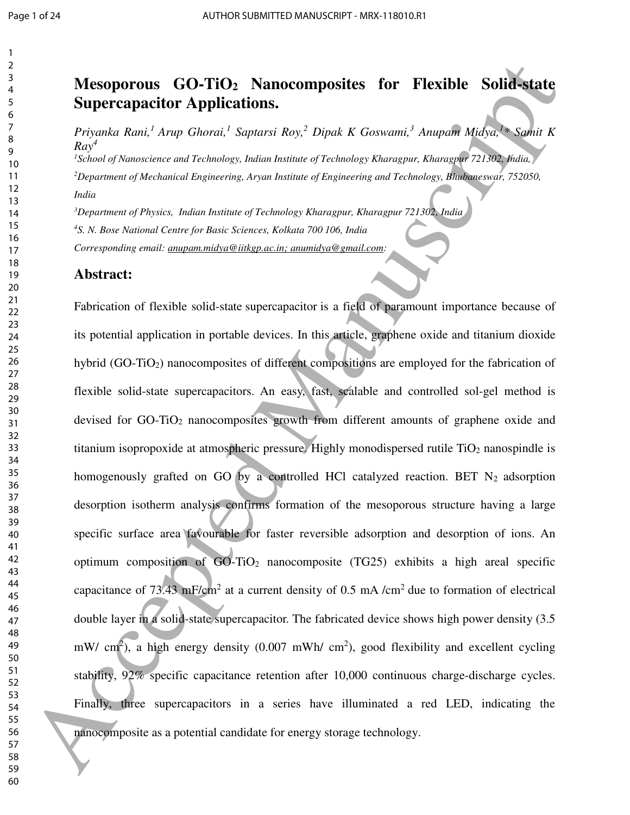## **Mesoporous GO-TiO2 Nanocomposites for Flexible Solid-state Supercapacitor Applications.**

*Priyanka Rani,<sup>1</sup>Arup Ghorai,<sup>1</sup> Saptarsi Roy,<sup>2</sup> Dipak K Goswami,<sup>3</sup> Anupam Midya,<sup>1</sup> \* Samit K Ray 4 School of Nanoscience and Technology, Indian Institute of Technology Kharagpur, Kharagpur 721302, India, Department of Mechanical Engineering, Aryan Institute of Engineering and Technology, Bhubaneswar, 752050, India* 

*Department of Physics, Indian Institute of Technology Kharagpur, Kharagpur 721302, India S. N. Bose National Centre for Basic Sciences, Kolkata 700 106, India Corresponding email: anupam.midya@iitkgp.ac.in; anumidya@gmail.com:* 

#### **Abstract:**

Fabrication of flexible solid-state supercapacitor is a field of paramount importance because of its potential application in portable devices. In this article, graphene oxide and titanium dioxide hybrid (GO-TiO<sub>2</sub>) nanocomposites of different compositions are employed for the fabrication of flexible solid-state supercapacitors. An easy, fast, scalable and controlled sol-gel method is devised for GO-TiO<sub>2</sub> nanocomposites growth from different amounts of graphene oxide and titanium isopropoxide at atmospheric pressure. Highly monodispersed rutile  $TiO<sub>2</sub>$  nanospindle is homogenously grafted on GO by a controlled HCl catalyzed reaction. BET  $N_2$  adsorption desorption isotherm analysis confirms formation of the mesoporous structure having a large specific surface area favourable for faster reversible adsorption and desorption of ions. An optimum composition of  $GO-TiO<sub>2</sub>$  nanocomposite (TG25) exhibits a high areal specific capacitance of 73.43 mF/cm<sup>2</sup> at a current density of 0.5 mA /cm<sup>2</sup> due to formation of electrical double layer in a solid-state supercapacitor. The fabricated device shows high power density (3.5 mW/ cm<sup>2</sup>), a high energy density (0.007 mWh/ cm<sup>2</sup>), good flexibility and excellent cycling stability, 92% specific capacitance retention after 10,000 continuous charge-discharge cycles. Finally, three supercapacitors in a series have illuminated a red LED, indicating the nanocomposite as a potential candidate for energy storage technology. **24**<br> **Mesoporo[u](mailto:anumidya@gmail.com)s GO-TiO2 Nanocomposites for Plexible Solid-state**<br> **Supercapacitor Applications.**<br> *Friendale Rand: Angle Globeni: Saptaris Ray, Dipick K Graecant. Angle BigGas Saptaris Ray, Dipick R Graecant. Angle Glob*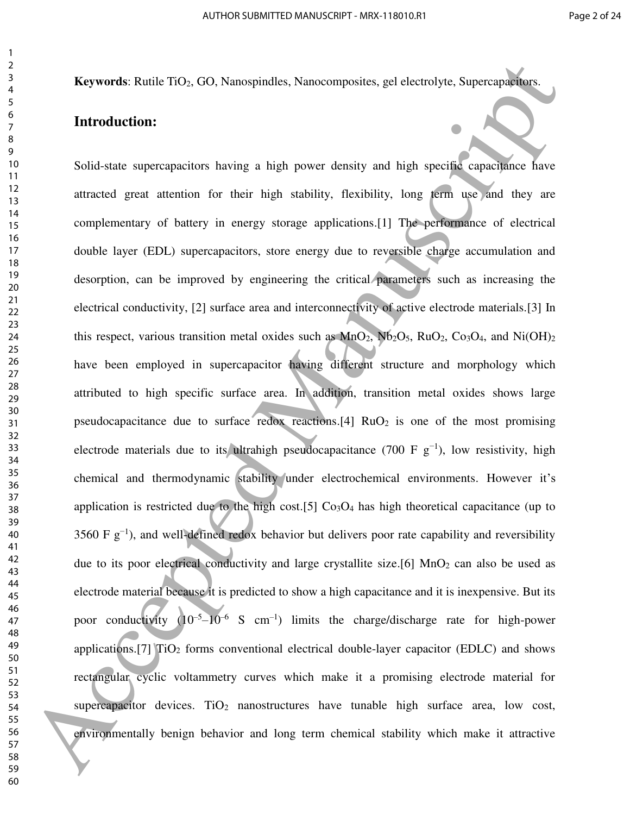**Keywords**: Rutile TiO<sub>2</sub>, GO, Nanospindles, Nanocomposites, gel electrolyte, Supercapacitors.

## **Introduction:**

Solid-state supercapacitors having a high power density and high specific capacitance have attracted great attention for their high stability, flexibility, long term use and they are complementary of battery in energy storage applications.[1] The performance of electrical double layer (EDL) supercapacitors, store energy due to reversible charge accumulation and desorption, can be improved by engineering the critical parameters such as increasing the electrical conductivity, [2] surface area and interconnectivity of active electrode materials.[3] In this respect, various transition metal oxides such as  $MnO_2$ ,  $Nb_2O_5$ ,  $RuO_2$ ,  $Co_3O_4$ , and  $Ni(OH)_2$ have been employed in supercapacitor having different structure and morphology which attributed to high specific surface area. In addition, transition metal oxides shows large pseudocapacitance due to surface redox reactions.[4]  $RuO<sub>2</sub>$  is one of the most promising electrode materials due to its ultrahigh pseudocapacitance (700 F  $g^{-1}$ ), low resistivity, high chemical and thermodynamic stability under electrochemical environments. However it's application is restricted due to the high cost.[5]  $Co<sub>3</sub>O<sub>4</sub>$  has high theoretical capacitance (up to 3560 F  $g^{-1}$ ), and well-defined redox behavior but delivers poor rate capability and reversibility due to its poor electrical conductivity and large crystallite size.[6]  $MnO<sub>2</sub>$  can also be used as electrode material because it is predicted to show a high capacitance and it is inexpensive. But its poor conductivity  $(10^{-5} - 10^{-6} \text{ S cm}^{-1})$  limits the charge/discharge rate for high-power applications.[7]  $TiO<sub>2</sub>$  forms conventional electrical double-layer capacitor (EDLC) and shows rectangular cyclic voltammetry curves which make it a promising electrode material for supercapacitor devices.  $TiO<sub>2</sub>$  nanostructures have tunable high surface area, low cost, environmentally benign behavior and long term chemical stability which make it attractive **Expansive Retrict TO<sub>3</sub> CO<sub>3</sub> Nuncemputes, Nuncemposites, get electrolyte, Superoposites.<br>
For inductions<br>
Suid-state superopositions having a high prover density and high specific conceptions from<br>
the state superoposit**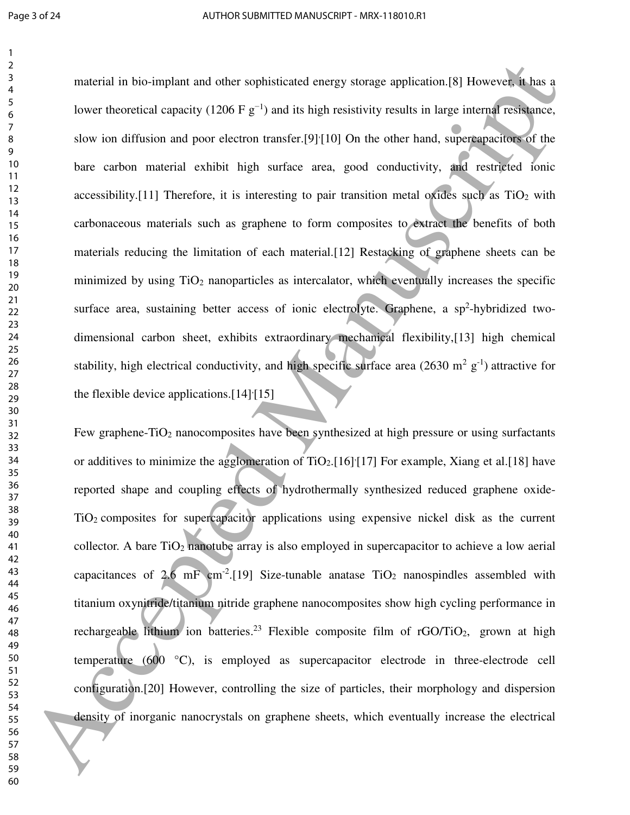material in bio-implant and other sophisticated energy storage application.[8] However, it has a lower theoretical capacity (1206 F  $g^{-1}$ ) and its high resistivity results in large internal resistance, slow ion diffusion and poor electron transfer.[9]<sup>{</sup>[10] On the other hand, supercapacitors of the bare carbon material exhibit high surface area, good conductivity, and restricted ionic accessibility.<sup>[11]</sup> Therefore, it is interesting to pair transition metal oxides such as  $TiO<sub>2</sub>$  with carbonaceous materials such as graphene to form composites to extract the benefits of both materials reducing the limitation of each material.[12] Restacking of graphene sheets can be minimized by using  $TiO<sub>2</sub>$  nanoparticles as intercalator, which eventually increases the specific surface area, sustaining better access of ionic electrolyte. Graphene, a sp<sup>2</sup>-hybridized twodimensional carbon sheet, exhibits extraordinary mechanical flexibility,[13] high chemical stability, high electrical conductivity, and high specific surface area  $(2630 \text{ m}^2 \text{ g}^{-1})$  attractive for the flexible device applications. $[14]$ <sup>[15]</sup> noterial in busing<br>that and other suphisticated energy storage application.[8] Bowever, thus<br>3<br>bow is antifactor and provident transfer (9)(10) On the other hand, superparently (evidence,<br>3<br>bow is a diffusion and providen

Few graphene-TiO<sub>2</sub> nanocomposites have been synthesized at high pressure or using surfactants or additives to minimize the agglomeration of  $TiO<sub>2</sub>$ . [16] [17] For example, Xiang et al. [18] have reported shape and coupling effects of hydrothermally synthesized reduced graphene oxide-TiO2 composites for supercapacitor applications using expensive nickel disk as the current collector. A bare  $TiO<sub>2</sub>$  nanotube array is also employed in supercapacitor to achieve a low aerial capacitances of 2.6 mF cm<sup>-2</sup>.[19] Size-tunable anatase  $TiO<sub>2</sub>$  nanospindles assembled with titanium oxynitride/titanium nitride graphene nanocomposites show high cycling performance in rechargeable lithium ion batteries.<sup>23</sup> Flexible composite film of  $rGO/TiO<sub>2</sub>$ , grown at high temperature (600 °C), is employed as supercapacitor electrode in three-electrode cell configuration.[20] However, controlling the size of particles, their morphology and dispersion density of inorganic nanocrystals on graphene sheets, which eventually increase the electrical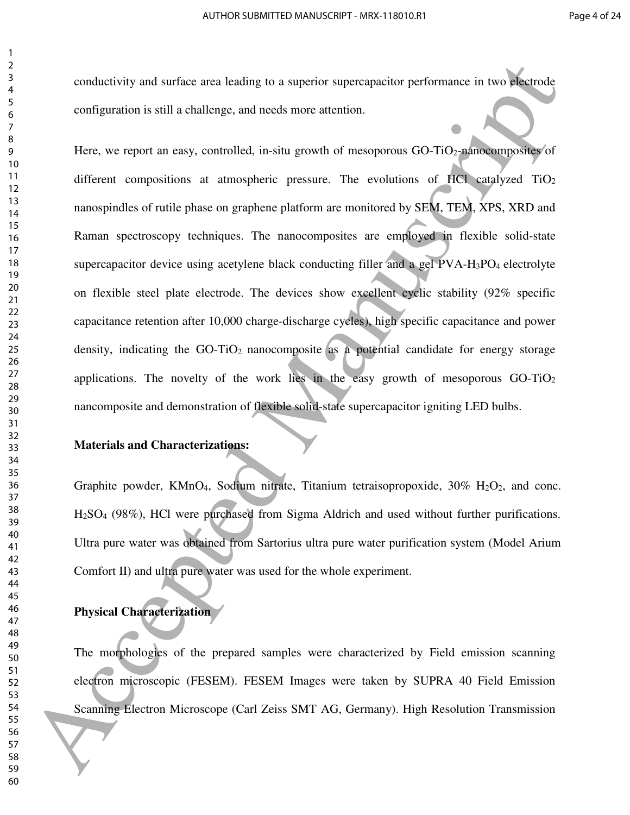conductivity and surface area leading to a superior supercapacitor performance in two electrode configuration is still a challenge, and needs more attention.

Here, we report an easy, controlled, in-situ growth of mesoporous  $GO-TiO<sub>2</sub>-nanocomposites$  of different compositions at atmospheric pressure. The evolutions of HCl catalyzed  $TiO<sub>2</sub>$ nanospindles of rutile phase on graphene platform are monitored by SEM, TEM, XPS, XRD and Raman spectroscopy techniques. The nanocomposites are employed in flexible solid-state supercapacitor device using acetylene black conducting filler and a gel PVA-H<sub>3</sub>PO<sub>4</sub> electrolyte on flexible steel plate electrode. The devices show excellent cyclic stability (92% specific capacitance retention after 10,000 charge-discharge cycles), high specific capacitance and power density, indicating the  $GO-TiO<sub>2</sub>$  nanocomposite as a potential candidate for energy storage applications. The novelty of the work lies in the easy growth of mesoporous GO-TiO<sup>2</sup> nancomposite and demonstration of flexible solid-state supercapacitor igniting LED bulbs. conductivity and surface area leading to a superior superagnotive performance in two degrade<br>
or figures in the case of the constraints of the constraints of the constraints of the constraints of the case of the case of t

#### **Materials and Characterizations:**

Graphite powder, KMnO<sub>4</sub>, Sodium nitrate, Titanium tetraisopropoxide,  $30\%$  H<sub>2</sub>O<sub>2</sub>, and conc. H2SO4 (98%), HCl were purchased from Sigma Aldrich and used without further purifications. Ultra pure water was obtained from Sartorius ultra pure water purification system (Model Arium Comfort II) and ultra pure water was used for the whole experiment.

#### **Physical Characterization**

The morphologies of the prepared samples were characterized by Field emission scanning electron microscopic (FESEM). FESEM Images were taken by SUPRA 40 Field Emission Scanning Electron Microscope (Carl Zeiss SMT AG, Germany). High Resolution Transmission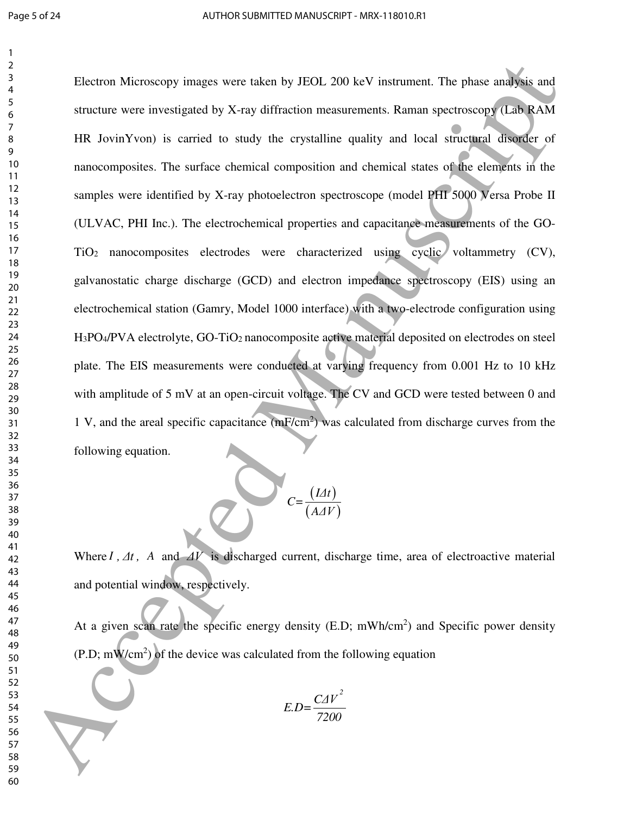Electron Microscopy images were taken by JEOL 200 keV instrument. The phase analysis and structure were investigated by X-ray diffraction measurements. Raman spectroscopy (Lab RAM HR JovinYvon) is carried to study the crystalline quality and local structural disorder of nanocomposites. The surface chemical composition and chemical states of the elements in the samples were identified by X-ray photoelectron spectroscope (model PHI 5000 Versa Probe II (ULVAC, PHI Inc.). The electrochemical properties and capacitance measurements of the GO-TiO2 nanocomposites electrodes were characterized using cyclic voltammetry (CV), galvanostatic charge discharge (GCD) and electron impedance spectroscopy (EIS) using an electrochemical station (Gamry, Model 1000 interface) with a two-electrode configuration using H<sub>3</sub>PO<sub>4</sub>/PVA electrolyte, GO-TiO<sub>2</sub> nanocomposite active material deposited on electrodes on steel plate. The EIS measurements were conducted at varying frequency from 0.001 Hz to 10 kHz with amplitude of 5 mV at an open-circuit voltage. The CV and GCD were tested between 0 and 1 V, and the areal specific capacitance (mF/cm<sup>2</sup>) was calculated from discharge curves from the following equation. Election Microscopy images were taken by JLO1. 200 keV instrument. The phase analysis and<br>straints were investigated by X-ray diffraction measurements. Raman spectroscopy (LaWRAM<br>HR Jovin Yven) is carried to start the ery



Where *I*,  $\Delta t$ , *A* and  $\Delta V$  is discharged current, discharge time, area of electroactive material and potential window, respectively.

At a given scan rate the specific energy density (E.D; mWh/cm<sup>2</sup>) and Specific power density  $(P.D; mW/cm<sup>2</sup>)$  of the device was calculated from the following equation

$$
E.D = \frac{CAV^2}{7200}
$$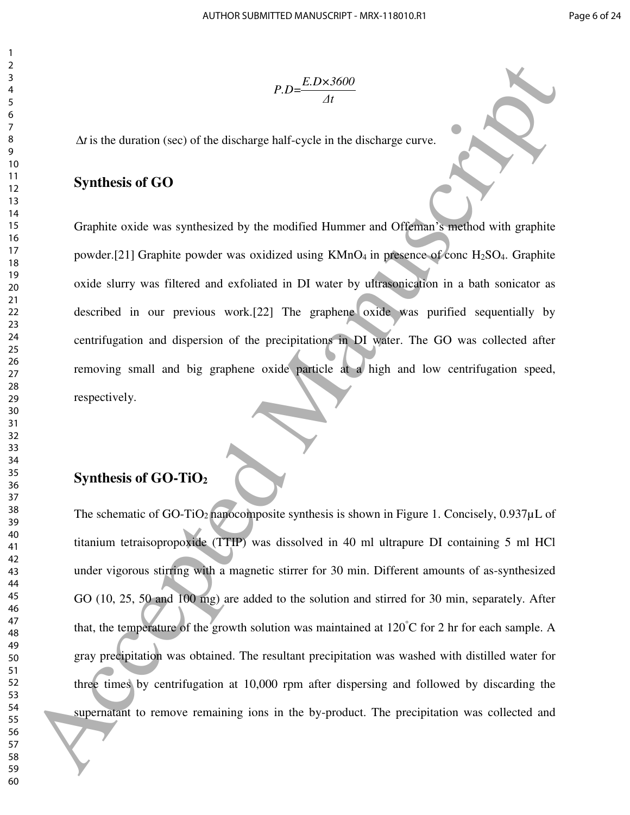$$
P.D = \frac{E.D \times 3600}{\Delta t}
$$

 $\Delta t$  is the duration (sec) of the discharge half-cycle in the discharge curve.

## **Synthesis of GO**

Graphite oxide was synthesized by the modified Hummer and Offeman's method with graphite powder.[21] Graphite powder was oxidized using  $KMnO<sub>4</sub>$  in presence of conc H<sub>2</sub>SO<sub>4</sub>. Graphite oxide slurry was filtered and exfoliated in DI water by ultrasonication in a bath sonicator as described in our previous work.[22] The graphene oxide was purified sequentially by centrifugation and dispersion of the precipitations in DI water. The GO was collected after removing small and big graphene oxide particle at a high and low centrifugation speed, respectively.

## **Synthesis of GO-TiO<sup>2</sup>**

The schematic of GO-TiO<sub>2</sub> nanocomposite synthesis is shown in Figure 1. Concisely,  $0.937 \mu L$  of titanium tetraisopropoxide (TTIP) was dissolved in 40 ml ultrapure DI containing 5 ml HCl under vigorous stirring with a magnetic stirrer for 30 min. Different amounts of as-synthesized GO (10, 25, 50 and 100 mg) are added to the solution and stirred for 30 min, separately. After that, the temperature of the growth solution was maintained at  $120^{\circ}$ C for 2 hr for each sample. A gray precipitation was obtained. The resultant precipitation was washed with distilled water for three times by centrifugation at 10,000 rpm after dispersing and followed by discarding the supernatant to remove remaining ions in the by-product. The precipitation was collected and **Example 20**<br>
For the densition (section of the distribution of the distribution control of the distribution of the distribution of the distribution of the distribution of the distribution of the distribution of the prope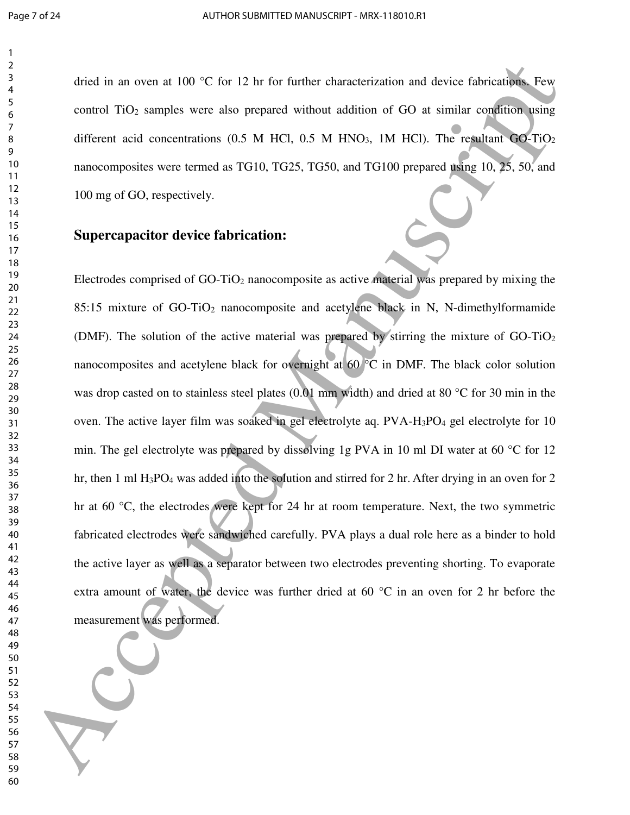dried in an oven at 100 °C for 12 hr for further characterization and device fabrications. Few control TiO2 samples were also prepared without addition of GO at similar condition using different acid concentrations (0.5 M HCl, 0.5 M HNO<sub>3</sub>, 1M HCl). The resultant  $GO-TiO<sub>2</sub>$ nanocomposites were termed as TG10, TG25, TG50, and TG100 prepared using 10, 25, 50, and 100 mg of GO, respectively.

## **Supercapacitor device fabrication:**

Electrodes comprised of GO-TiO2 nanocomposite as active material was prepared by mixing the 85:15 mixture of GO-TiO2 nanocomposite and acetylene black in N, N-dimethylformamide (DMF). The solution of the active material was prepared by stirring the mixture of  $GO-TiO<sub>2</sub>$ nanocomposites and acetylene black for overnight at 60 °C in DMF. The black color solution was drop casted on to stainless steel plates (0.01 mm width) and dried at 80 °C for 30 min in the oven. The active layer film was soaked in gel electrolyte aq.  $PVA-H_3PO_4$  gel electrolyte for 10 min. The gel electrolyte was prepared by dissolving 1g PVA in 10 ml DI water at 60 °C for 12 hr, then 1 ml H<sub>3</sub>PO<sub>4</sub> was added into the solution and stirred for 2 hr. After drying in an oven for 2 hr at 60 °C, the electrodes were kept for 24 hr at room temperature. Next, the two symmetric fabricated electrodes were sandwiched carefully. PVA plays a dual role here as a binder to hold the active layer as well as a separator between two electrodes preventing shorting. To evaporate extra amount of water, the device was further dried at 60 °C in an oven for 2 hr before the measurement was performed. diel in an oven at 100 °C for 12 he for further chanceretration and device fabrication properties<br>  $\frac{3}{2}$ <br>
ordinal TO<sub>2</sub> samples were also prepared without addition of GO at similar condition space<br>
officered acid conc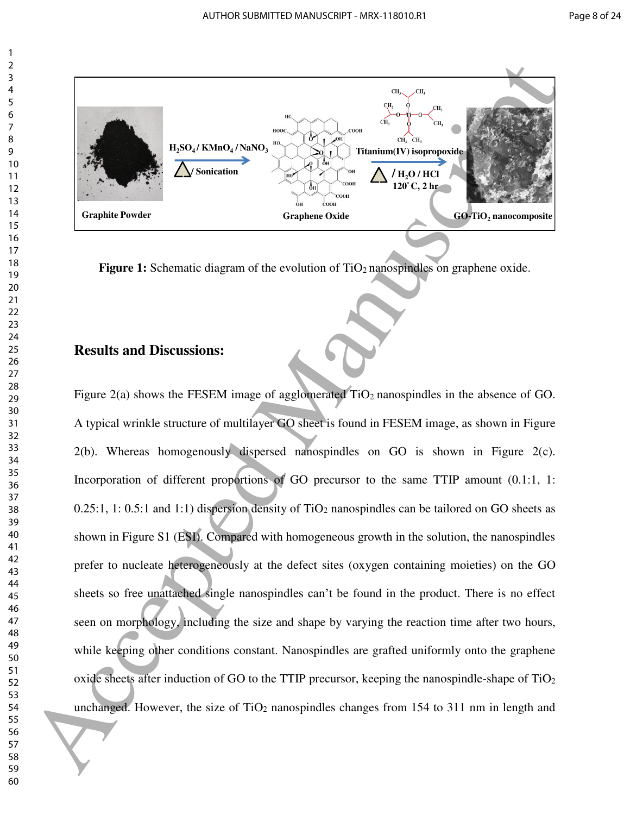

**Figure 1:** Schematic diagram of the evolution of TiO<sub>2</sub> nanospindles on graphene oxide.

## **Results and Discussions:**

Figure 2(a) shows the FESEM image of agglomerated TiO<sub>2</sub> nanospindles in the absence of GO. A typical wrinkle structure of multilayer GO sheet is found in FESEM image, as shown in Figure 2(b). Whereas homogenously dispersed nanospindles on GO is shown in Figure 2(c). Incorporation of different proportions of GO precursor to the same TTIP amount  $(0.1:1, 1:$  $0.25:1$ , 1: 0.5:1 and 1:1) dispersion density of TiO<sub>2</sub> nanospindles can be tailored on GO sheets as shown in Figure S1 (ESI). Compared with homogeneous growth in the solution, the nanospindles prefer to nucleate heterogeneously at the defect sites (oxygen containing moieties) on the GO sheets so free unattached single nanospindles can't be found in the product. There is no effect seen on morphology, including the size and shape by varying the reaction time after two hours, while keeping other conditions constant. Nanospindles are grafted uniformly onto the graphene oxide sheets after induction of GO to the TTIP precursor, keeping the nanospindle-shape of TiO<sup>2</sup> unchanged. However, the size of  $TiO<sub>2</sub>$  nanospindles changes from 154 to 311 nm in length and **Example 1998**<br> **Example 1998**<br> **Example 1998**<br> **Example 1998**<br> **Example 1998**<br> **Example 1998**<br> **Example 1999**<br> **Example 1999**<br> **Example 1999**<br> **Example 1999**<br> **Example 1999**<br> **Example 1999**<br> **Example 1999**<br> **Example 1999**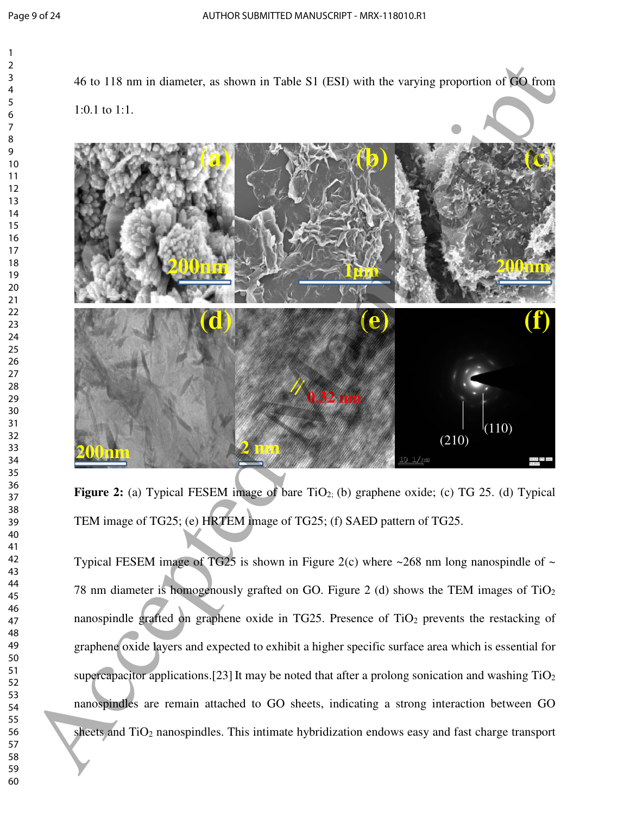

**Figure 2:** (a) Typical FESEM image of bare TiO<sub>2;</sub> (b) graphene oxide; (c) TG 25. (d) Typical TEM image of TG25; (e) HRTEM image of TG25; (f) SAED pattern of TG25.

Typical FESEM image of TG25 is shown in Figure 2(c) where  $\sim$ 268 nm long nanospindle of  $\sim$ 78 nm diameter is homogenously grafted on GO. Figure 2 (d) shows the TEM images of  $TiO<sub>2</sub>$ nanospindle grafted on graphene oxide in TG25. Presence of TiO<sub>2</sub> prevents the restacking of graphene oxide layers and expected to exhibit a higher specific surface area which is essential for supercapacitor applications.[23] It may be noted that after a prolong sonication and washing  $TiO<sub>2</sub>$ nanospindles are remain attached to GO sheets, indicating a strong interaction between GO sheets and TiO2 nanospindles. This intimate hybridization endows easy and fast charge transport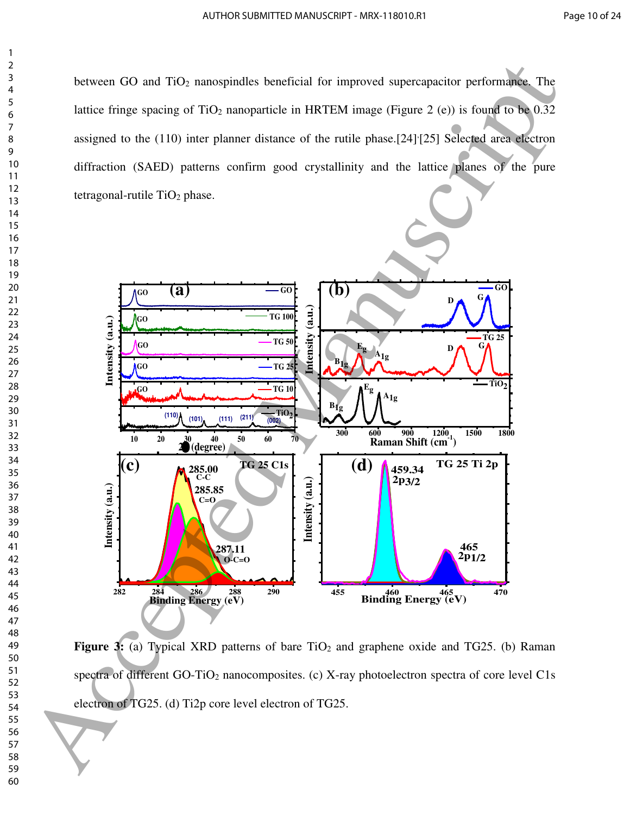between GO and TiO<sub>2</sub> nanospindles beneficial for improved supercapacitor performance. The lattice fringe spacing of  $TiO<sub>2</sub>$  nanoparticle in HRTEM image (Figure 2 (e)) is found to be 0.32 assigned to the (110) inter planner distance of the rutile phase.[24]<sup>{</sup>[25] Selected area electron diffraction (SAED) patterns confirm good crystallinity and the lattice planes of the pure tetragonal-rutile  $TiO<sub>2</sub>$  phase.



Figure 3: (a) Typical XRD patterns of bare TiO<sub>2</sub> and graphene oxide and TG25. (b) Raman spectra of different GO-TiO<sub>2</sub> nanocomposites. (c) X-ray photoelectron spectra of core level C1s electron of TG25. (d) Ti2p core level electron of TG25.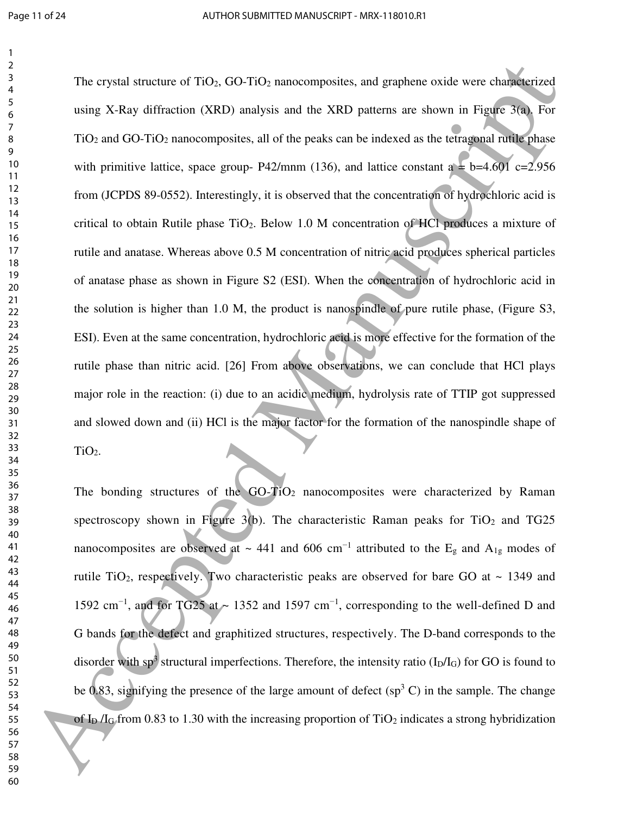The crystal structure of TiO<sub>2</sub>, GO-TiO<sub>2</sub> nanocomposites, and graphene oxide were characterized using X-Ray diffraction (XRD) analysis and the XRD patterns are shown in Figure 3(a). For  $TiO<sub>2</sub>$  and GO-TiO<sub>2</sub> nanocomposites, all of the peaks can be indexed as the tetragonal rutile phase with primitive lattice, space group- P42/mnm (136), and lattice constant a  $\pm$  b=4.601 c=2.956 from (JCPDS 89-0552). Interestingly, it is observed that the concentration of hydrochloric acid is critical to obtain Rutile phase TiO2. Below 1.0 M concentration of HCl produces a mixture of rutile and anatase. Whereas above 0.5 M concentration of nitric acid produces spherical particles of anatase phase as shown in Figure S2 (ESI). When the concentration of hydrochloric acid in the solution is higher than 1.0 M, the product is nanospindle of pure rutile phase, (Figure S3, ESI). Even at the same concentration, hydrochloric acid is more effective for the formation of the rutile phase than nitric acid. [26] From above observations, we can conclude that HCl plays major role in the reaction: (i) due to an acidic medium, hydrolysis rate of TTIP got suppressed and slowed down and (ii) HCl is the major factor for the formation of the nanospindle shape of TiO2. The crystal structure of TRO<sub>2</sub> (OL-TIO) mass composites, and graphene oxide were changement<br>
18  $\mu$  sing X-Ray diffuscion (XRD) analysis and the XRD patterns are shown in Figure 300. For<br>
160 and GO TiO, annoxomposites,

The bonding structures of the  $GO-TiO<sub>2</sub>$  nanocomposites were characterized by Raman spectroscopy shown in Figure 3(b). The characteristic Raman peaks for  $TiO<sub>2</sub>$  and TG25 nanocomposites are observed at ~ 441 and 606 cm<sup>-1</sup> attributed to the  $E<sub>g</sub>$  and  $A<sub>1g</sub>$  modes of rutile TiO<sub>2</sub>, respectively. Two characteristic peaks are observed for bare GO at  $\sim$  1349 and 1592 cm<sup>-1</sup>, and for TG25 at ~ 1352 and 1597 cm<sup>-1</sup>, corresponding to the well-defined D and G bands for the defect and graphitized structures, respectively. The D-band corresponds to the disorder with sp<sup>3</sup> structural imperfections. Therefore, the intensity ratio ( $I_D/I_G$ ) for GO is found to be 0.83, signifying the presence of the large amount of defect  $(sp^3 C)$  in the sample. The change of I<sub>D</sub> /I<sub>G</sub> from 0.83 to 1.30 with the increasing proportion of TiO<sub>2</sub> indicates a strong hybridization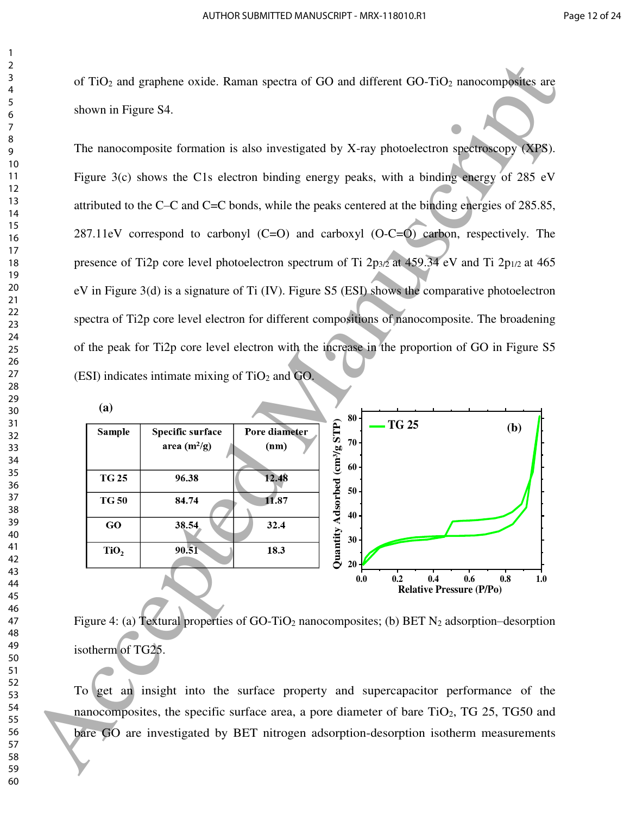of TiO2 and graphene oxide. Raman spectra of GO and different GO-TiO2 nanocomposites are shown in Figure S4.

The nanocomposite formation is also investigated by X-ray photoelectron spectroscopy (XPS). Figure 3(c) shows the C1s electron binding energy peaks, with a binding energy of 285 eV attributed to the C–C and C=C bonds, while the peaks centered at the binding energies of 285.85, 287.11eV correspond to carbonyl (C=O) and carboxyl (O-C=O) carbon, respectively. The presence of Ti2p core level photoelectron spectrum of Ti  $2p_{3/2}$  at 459.34 eV and Ti  $2p_{1/2}$  at 465 eV in Figure 3(d) is a signature of Ti (IV). Figure S5 (ESI) shows the comparative photoelectron spectra of Ti2p core level electron for different compositions of nanocomposite. The broadening of the peak for Ti2p core level electron with the increase in the proportion of GO in Figure S5 (ESI) indicates intimate mixing of  $TiO<sub>2</sub>$  and GO. 61 TiO<sub>2</sub> and prophere coide. Ruman spectra of GO and different GO-TiO<sub>2</sub> manceauposite in<br>
8 <br>
60 Accepted Manuscript (Section Manuscript (Section Manuscript (Section Manuscript (Section Manuscript (Section Manuscript (S



Figure 4: (a) Textural properties of GO-TiO<sub>2</sub> nanocomposites; (b) BET  $N_2$  adsorption–desorption isotherm of TG25.

To get an insight into the surface property and supercapacitor performance of the nanocomposites, the specific surface area, a pore diameter of bare  $TiO<sub>2</sub>$ , TG 25, TG50 and bare GO are investigated by BET nitrogen adsorption-desorption isotherm measurements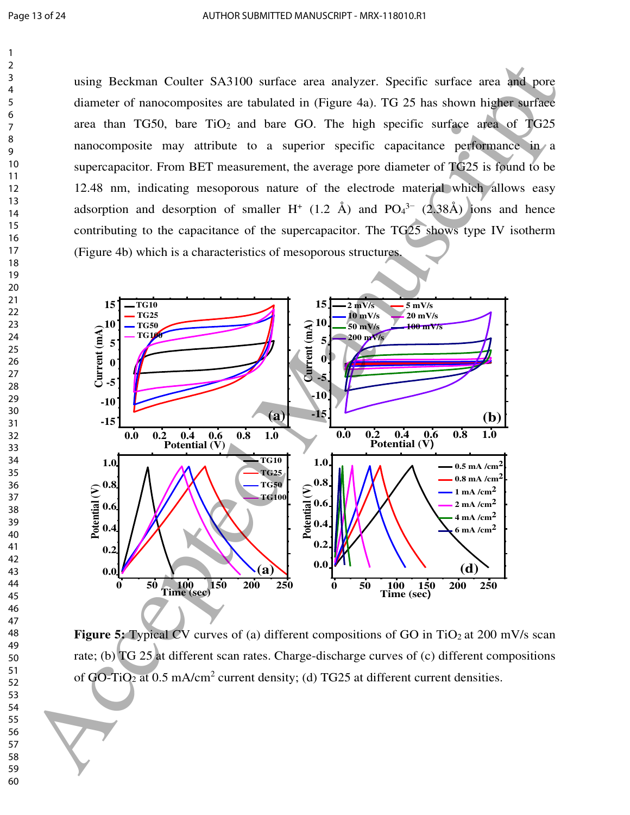using Beckman Coulter SA3100 surface area analyzer. Specific surface area and pore diameter of nanocomposites are tabulated in (Figure 4a). TG 25 has shown higher surface area than TG50, bare  $TiO<sub>2</sub>$  and bare GO. The high specific surface area of TG25 nanocomposite may attribute to a superior specific capacitance performance in a supercapacitor. From BET measurement, the average pore diameter of TG25 is found to be 12.48 nm, indicating mesoporous nature of the electrode material which allows easy adsorption and desorption of smaller  $H^+$  (1.2 Å) and  $PO_4^{3-}$  (2.38Å) ions and hence contributing to the capacitance of the supercapacitor. The TG25 shows type IV isotherm (Figure 4b) which is a characteristics of mesoporous structures.



**Figure 5:** Typical CV curves of (a) different compositions of GO in TiO<sub>2</sub> at 200 mV/s scan rate; (b) TG 25 at different scan rates. Charge-discharge curves of (c) different compositions of GO-TiO<sub>2</sub> at 0.5 mA/cm<sup>2</sup> current density; (d) TG25 at different current densities.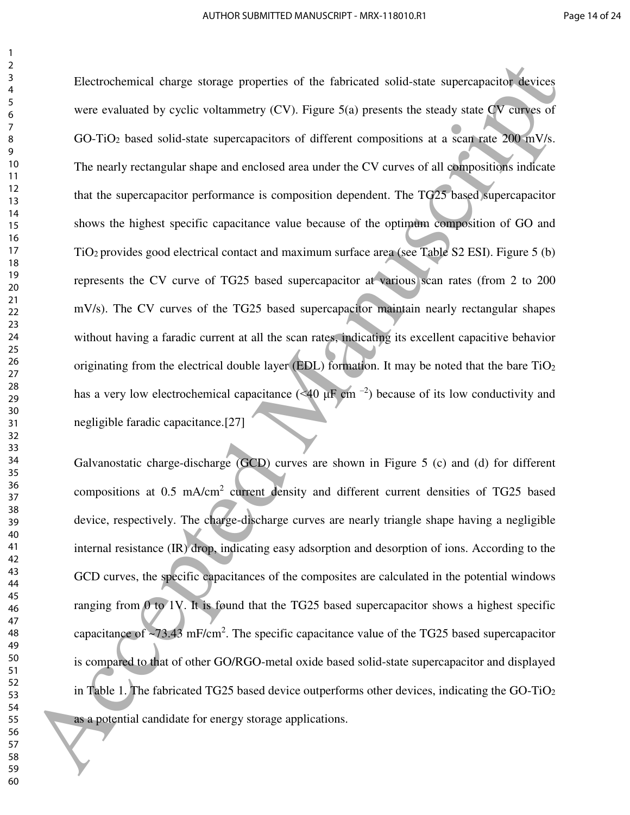Electrochemical charge storage properties of the fabricated solid-state supercapacitor devices were evaluated by cyclic voltammetry  $(CV)$ . Figure  $5(a)$  presents the steady state CV curves of GO-TiO<sub>2</sub> based solid-state supercapacitors of different compositions at a scan rate 200 mV/s. The nearly rectangular shape and enclosed area under the CV curves of all compositions indicate that the supercapacitor performance is composition dependent. The TG25 based supercapacitor shows the highest specific capacitance value because of the optimum composition of GO and TiO2 provides good electrical contact and maximum surface area (see Table S2 ESI). Figure 5 (b) represents the CV curve of TG25 based supercapacitor at various scan rates (from 2 to 200 mV/s). The CV curves of the TG25 based supercapacitor maintain nearly rectangular shapes without having a faradic current at all the scan rates, indicating its excellent capacitive behavior originating from the electrical double layer (EDL) formation. It may be noted that the bare TiO<sub>2</sub> has a very low electrochemical capacitance (<40  $\mu$ F cm<sup>-2</sup>) because of its low conductivity and negligible faradic capacitance.[27] Electrochemical charge sometic properties of the fabricated solid-state supercupation devices<br>severe evaluated by cyclic voltamentry (CV). Equation (severe seases) state (W campes of<br>GO TiO<sub>2</sub> based solid-state supercupat

Galvanostatic charge-discharge (GCD) curves are shown in Figure 5 (c) and (d) for different compositions at 0.5 mA/cm<sup>2</sup> current density and different current densities of TG25 based device, respectively. The charge-discharge curves are nearly triangle shape having a negligible internal resistance (IR) drop, indicating easy adsorption and desorption of ions. According to the GCD curves, the specific capacitances of the composites are calculated in the potential windows ranging from  $\ddot{\theta}$  to 1V. It is found that the TG25 based supercapacitor shows a highest specific capacitance of  $\sim$ 73.43 mF/cm<sup>2</sup>. The specific capacitance value of the TG25 based supercapacitor is compared to that of other GO/RGO-metal oxide based solid-state supercapacitor and displayed in Table 1. The fabricated TG25 based device outperforms other devices, indicating the GO-TiO<sup>2</sup> as a potential candidate for energy storage applications.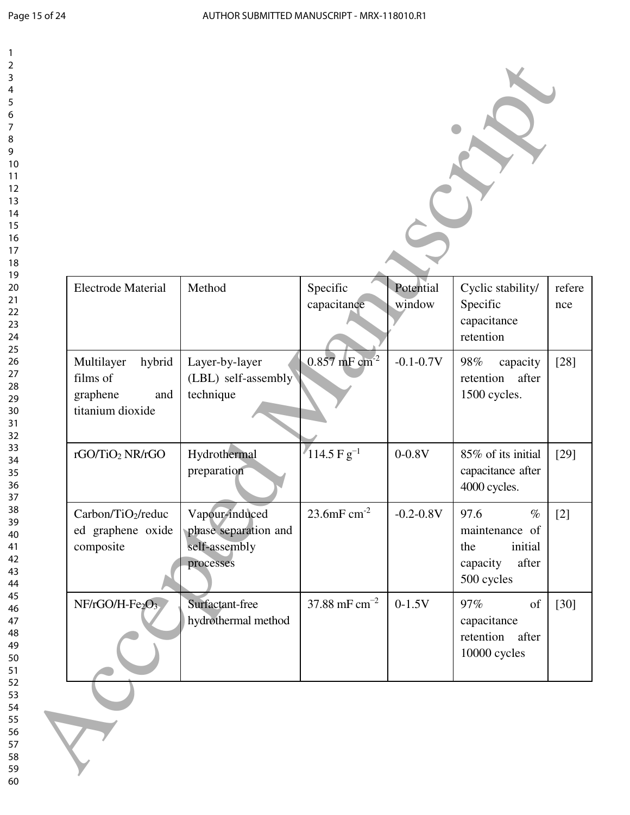| <b>Electrode Material</b>                                               | Method                                                               | Specific<br>capacitance     | Potential<br>window | Cyclic stability/<br>Specific<br>capacitance<br>retention                           |
|-------------------------------------------------------------------------|----------------------------------------------------------------------|-----------------------------|---------------------|-------------------------------------------------------------------------------------|
| Multilayer<br>hybrid<br>films of<br>graphene<br>and<br>titanium dioxide | Layer-by-layer<br>(LBL) self-assembly<br>technique                   | $0.857$ mF cm <sup>-2</sup> | $-0.1 - 0.7V$       | 98%<br>capacity<br>retention<br>after<br>1500 cycles.                               |
| rGO/TiO2 NR/rGO                                                         | Hydrothermal<br>preparation                                          | $114.5 \text{ F g}^{-1}$    | $0 - 0.8V$          | 85% of its initial<br>capacitance after<br>4000 cycles.                             |
| Carbon/TiO <sub>2</sub> /reduc<br>ed graphene oxide<br>composite        | Vapour-induced<br>phase separation and<br>self-assembly<br>processes | 23.6mF $cm^{-2}$            | $-0.2 - 0.8V$       | 97.6<br>$\%$<br>maintenance of<br>initial<br>the<br>after<br>capacity<br>500 cycles |
| NF/rGO/H-Fe2O3                                                          | Surfactant-free<br>hydrothermal method                               | 37.88 mF $cm^{-2}$          | $0-1.5V$            | 97%<br>of<br>capacitance<br>retention after<br>10000 cycles                         |

> 57 58 59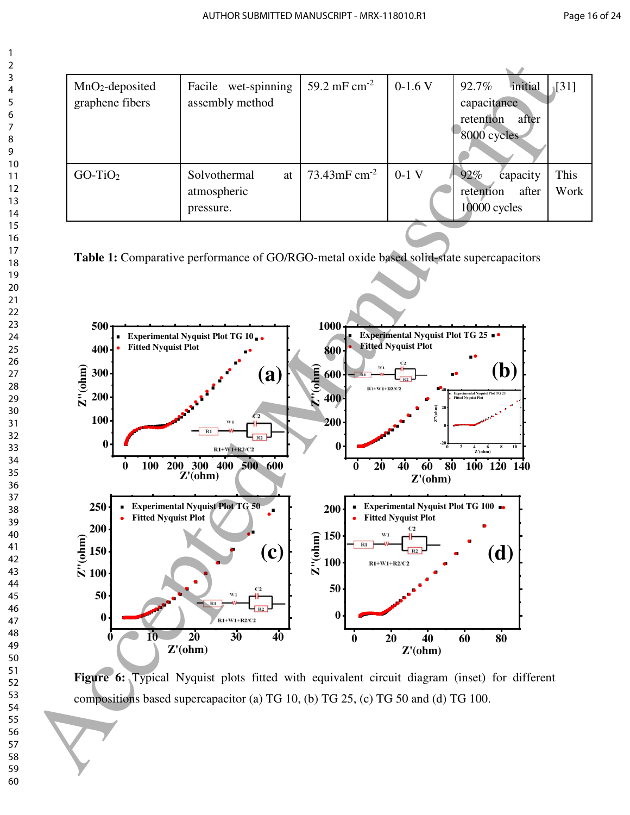| $MnO2$ -deposited<br>graphene fibers | Facile wet-spinning<br>assembly method         | 59.2 mF $cm^{-2}$ | $0-1.6$ V | 92.7%<br>initial<br>capacitance<br>retention<br>after<br>8000 cycles | $\sqrt{31}$  |
|--------------------------------------|------------------------------------------------|-------------------|-----------|----------------------------------------------------------------------|--------------|
| $GO-TiO2$                            | Solvothermal<br>at<br>atmospheric<br>pressure. | 73.43mF $cm^{-2}$ | $0-1$ V   | 92%<br>capacity<br>after<br>retention<br>10000 cycles                | This<br>Work |

**Table 1:** Comparative performance of GO/RGO-metal oxide based solid-state supercapacitors



**Figure 6:** Typical Nyquist plots fitted with equivalent circuit diagram (inset) for different compositions based supercapacitor (a) TG 10, (b) TG 25, (c) TG 50 and (d) TG 100.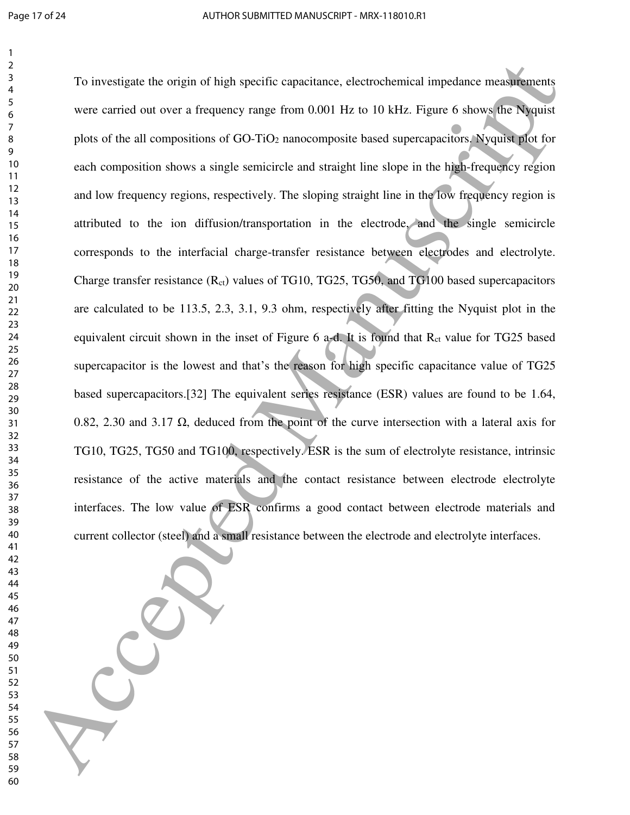To investigate the origin of high specific capacitance, electrochemical impedance measurements were carried out over a frequency range from 0.001 Hz to 10 kHz. Figure 6 shows the Nyquist plots of the all compositions of GO-TiO2 nanocomposite based supercapacitors. Nyquist plot for each composition shows a single semicircle and straight line slope in the high-frequency region and low frequency regions, respectively. The sloping straight line in the low frequency region is attributed to the ion diffusion/transportation in the electrode, and the single semicircle corresponds to the interfacial charge-transfer resistance between electrodes and electrolyte. Charge transfer resistance  $(R_{ct})$  values of TG10, TG25, TG50, and TG100 based supercapacitors are calculated to be 113.5, 2.3, 3.1, 9.3 ohm, respectively after fitting the Nyquist plot in the equivalent circuit shown in the inset of Figure a-d. It is found that  $R<sub>ct</sub>$  value for TG25 based supercapacitor is the lowest and that's the reason for high specific capacitance value of TG25 based supercapacitors.[32] The equivalent series resistance (ESR) values are found to be 1.64, 0.82, 2.30 and 3.17 Ω, deduced from the point of the curve intersection with a lateral axis for TG10, TG25, TG50 and TG100, respectively. ESR is the sum of electrolyte resistance, intrinsic resistance of the active materials and the contact resistance between electrode electrolyte interfaces. The low value of ESR confirms a good contact between electrode materials and current collector (steel) and a small resistance between the electrode and electrolyte interfaces. To investigate the origin of high specific or<br>parameter and other than the strainer, electrochemical impedime measurement<br>were carried not near a frequency range from 0.000 Hz. to 10 MHz. Figure 6 shows the sugar<br>plass of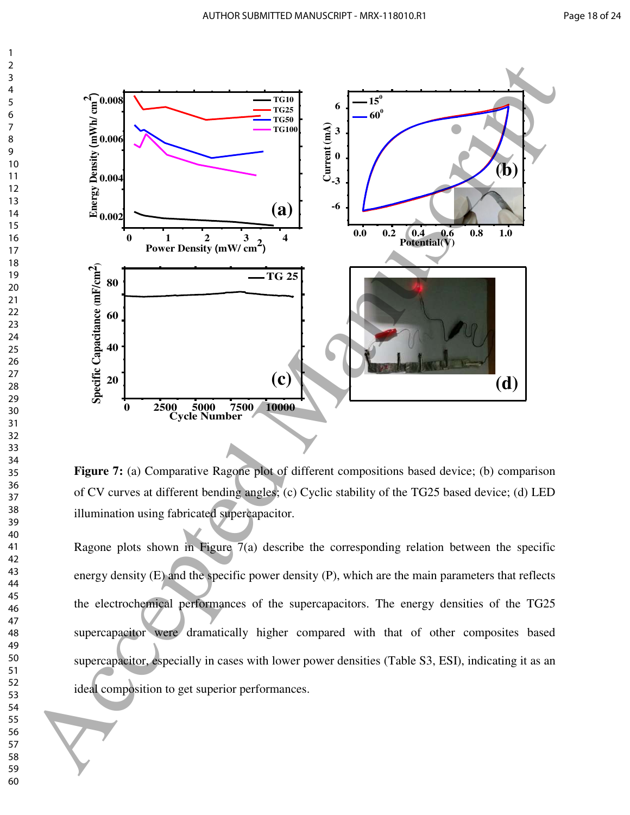

**Figure 7:** (a) Comparative Ragone plot of different compositions based device; (b) comparison of CV curves at different bending angles; (c) Cyclic stability of the TG25 based device; (d) LED illumination using fabricated supercapacitor.

Ragone plots shown in Figure 7(a) describe the corresponding relation between the specific energy density (E) and the specific power density (P), which are the main parameters that reflects the electrochemical performances of the supercapacitors. The energy densities of the TG25 supercapacitor were dramatically higher compared with that of other composites based supercapacitor, especially in cases with lower power densities (Table S3, ESI), indicating it as an ideal composition to get superior performances.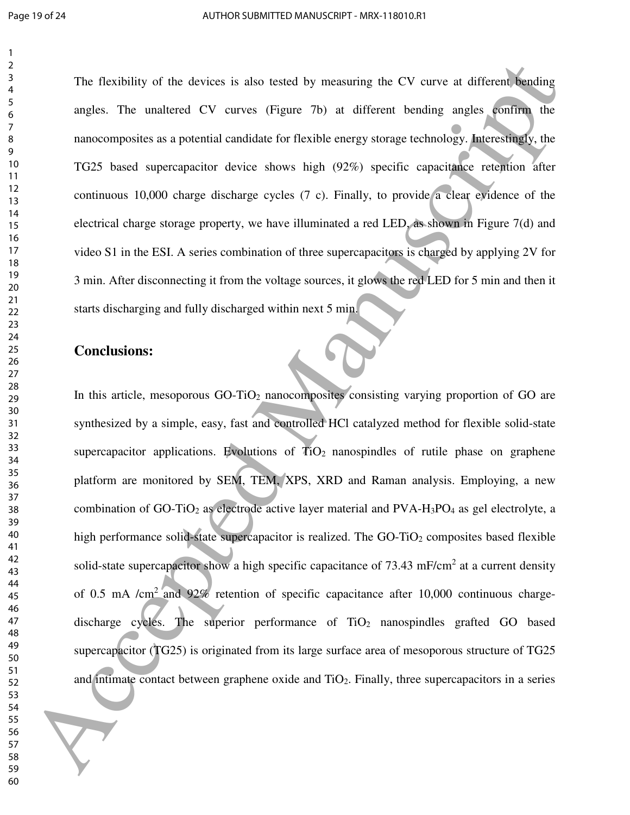The flexibility of the devices is also tested by measuring the CV curve at different bending angles. The unaltered CV curves (Figure 7b) at different bending angles confirm the nanocomposites as a potential candidate for flexible energy storage technology. Interestingly, the TG25 based supercapacitor device shows high (92%) specific capacitance retention after continuous 10,000 charge discharge cycles (7 c). Finally, to provide a clear evidence of the electrical charge storage property, we have illuminated a red LED, as shown in Figure 7(d) and video S1 in the ESI. A series combination of three supercapacitors is charged by applying 2V for 3 min. After disconnecting it from the voltage sources, it glows the red LED for 5 min and then it starts discharging and fully discharged within next 5 min.

#### **Conclusions:**

In this article, mesoporous GO-TiO<sub>2</sub> nanocomposites consisting varying proportion of GO are synthesized by a simple, easy, fast and controlled HCl catalyzed method for flexible solid-state supercapacitor applications. Evolutions of  $\overline{TiO_2}$  nanospindles of rutile phase on graphene platform are monitored by SEM, TEM, XPS, XRD and Raman analysis. Employing, a new combination of GO-TiO<sub>2</sub> as electrode active layer material and PVA-H<sub>3</sub>PO<sub>4</sub> as gel electrolyte, a high performance solid-state supercapacitor is realized. The  $GO-TiO<sub>2</sub>$  composites based flexible solid-state supercapacitor show a high specific capacitance of  $73.43 \text{ mF/cm}^2$  at a current density of 0.5 mA /cm<sup>2</sup> and 92% retention of specific capacitance after 10,000 continuous chargedischarge cycles. The superior performance of  $TiO<sub>2</sub>$  nanospindles grafted GO based supercapacitor (TG25) is originated from its large surface area of mesoporous structure of TG25 and intimate contact between graphene oxide and  $TiO<sub>2</sub>$ . Finally, three supercapacitors in a series The Beatistiny of the devices is also tested by measuring the CV curve at different density<br>speaks. The manifest CV curves (Figure 3b) at different bending angles, confine the<br>narrow-members as a parental candidate for fl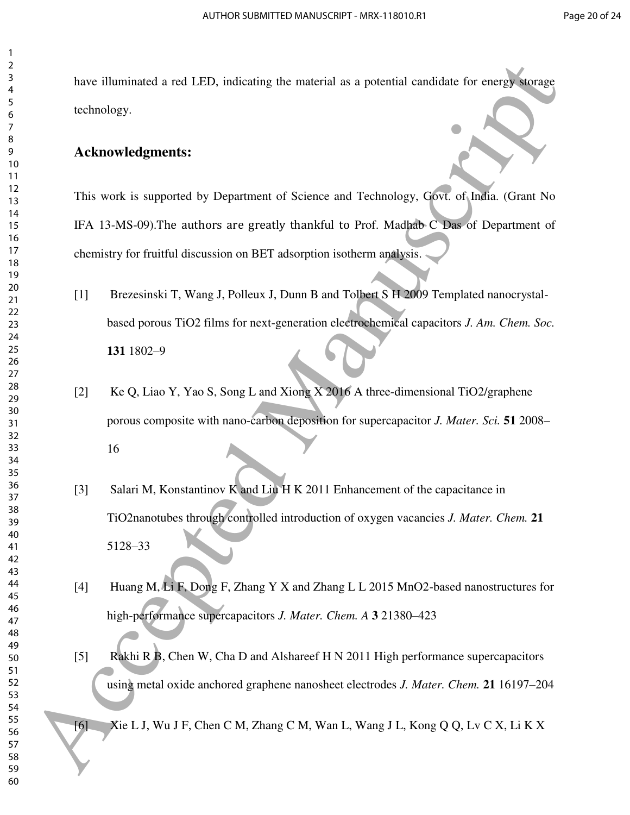have illuminated a red LED, indicating the material as a potential candidate for energy storage technology.

#### **Acknowledgments:**

This work is supported by Department of Science and Technology, Govt. of India. (Grant No IFA 13-MS-09).The authors are greatly thankful to Prof. Madhab C Das of Department of chemistry for fruitful discussion on BET adsorption isotherm analysis.

- [1] Brezesinski T, Wang J, Polleux J, Dunn B and Tolbert S H 2009 Templated nanocrystalbased porous TiO2 films for next-generation electrochemical capacitors *J. Am. Chem. Soc.* 1802–9
- [2] Ke Q, Liao Y, Yao S, Song L and Xiong X 2016 A three-dimensional TiO2/graphene porous composite with nano-carbon deposition for supercapacitor *J. Mater. Sci.* **51** 2008–
- [3] Salari M, Konstantinov K and Liu H K 2011 Enhancement of the capacitance in TiO2nanotubes through controlled introduction of oxygen vacancies *J. Mater. Chem.* **21** –33 Example 11 Accepted Manuscript (se muerical as a potential candidate for energy surface<br>
18 accepted Manuscript (see multiple and the multiple of the multiple of the multiple section of Science and Technology, GNT of Male
	- [4] Huang M, Li F, Dong F, Zhang Y X and Zhang L L 2015 MnO2-based nanostructures for high-performance supercapacitors *J. Mater. Chem. A* **3** 21380–423
	- [5] Rakhi R B, Chen W, Cha D and Alshareef H N 2011 High performance supercapacitors using metal oxide anchored graphene nanosheet electrodes *J. Mater. Chem.* **21** 16197–204

[6] Xie L J, Wu J F, Chen C M, Zhang C M, Wan L, Wang J L, Kong Q Q, Lv C X, Li K X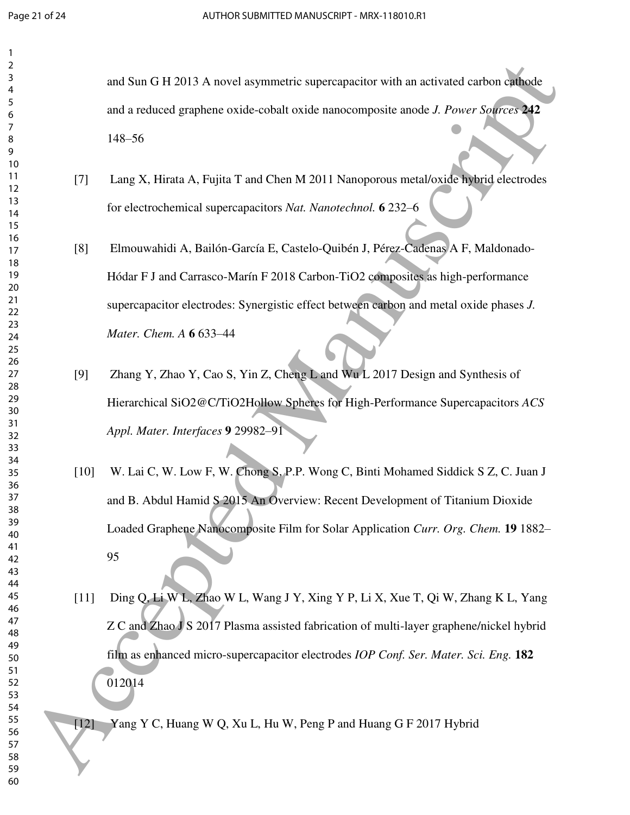| 2        |        |                                                                                         |
|----------|--------|-----------------------------------------------------------------------------------------|
| 3        |        |                                                                                         |
| 4        |        | and Sun G H 2013 A novel asymmetric supercapacitor with an activated carbon cathode     |
| 5        |        |                                                                                         |
| 6        |        | and a reduced graphene oxide-cobalt oxide nanocomposite anode J. Power Sources 242      |
| 7        |        |                                                                                         |
| 8        |        | $148 - 56$                                                                              |
| 9        |        |                                                                                         |
| 10       |        |                                                                                         |
| 11       | $[7]$  | Lang X, Hirata A, Fujita T and Chen M 2011 Nanoporous metal/oxide hybrid electrodes     |
| 12       |        |                                                                                         |
| 13       |        | for electrochemical supercapacitors Nat. Nanotechnol. 6 232-6                           |
| 14       |        |                                                                                         |
| 15<br>16 |        |                                                                                         |
| 17       | [8]    | Elmouwahidi A, Bailón-García E, Castelo-Quibén J, Pérez-Cadenas A F, Maldonado-         |
| 18       |        |                                                                                         |
| 19       |        | Hódar F J and Carrasco-Marín F 2018 Carbon-TiO2 composites as high-performance          |
| 20       |        |                                                                                         |
| 21       |        |                                                                                         |
| 22       |        | supercapacitor electrodes: Synergistic effect between carbon and metal oxide phases J.  |
| 23       |        |                                                                                         |
| 24       |        | Mater. Chem. A 6 633-44                                                                 |
| 25       |        |                                                                                         |
| 26       |        |                                                                                         |
| 27       | [9]    | Zhang Y, Zhao Y, Cao S, Yin Z, Cheng L and Wu L 2017 Design and Synthesis of            |
| 28       |        |                                                                                         |
| 29<br>30 |        | Hierarchical SiO2@C/TiO2Hollow Spheres for High-Performance Supercapacitors ACS         |
| 31       |        |                                                                                         |
| 32       |        | Appl. Mater. Interfaces 9 29982-91                                                      |
| 33       |        |                                                                                         |
| 34       |        |                                                                                         |
| 35       | $[10]$ | W. Lai C, W. Low F, W. Chong S, P.P. Wong C, Binti Mohamed Siddick S Z, C. Juan J       |
| 36       |        |                                                                                         |
| 37       |        | and B. Abdul Hamid S 2015 An Overview: Recent Development of Titanium Dioxide           |
| 38       |        |                                                                                         |
| 39       |        | Loaded Graphene Nanocomposite Film for Solar Application Curr. Org. Chem. 19 1882–      |
| 40       |        |                                                                                         |
| 41       |        | 95                                                                                      |
| 42       |        |                                                                                         |
| 43<br>44 |        |                                                                                         |
| 45       |        |                                                                                         |
| 46       | $[11]$ | Ding Q, Li W L, Zhao W L, Wang J Y, Xing Y P, Li X, Xue T, Qi W, Zhang K L, Yang        |
| 47       |        |                                                                                         |
| 48       |        | Z C and Zhao J S 2017 Plasma assisted fabrication of multi-layer graphene/nickel hybrid |
| 49       |        |                                                                                         |
| 50       |        | film as enhanced micro-supercapacitor electrodes IOP Conf. Ser. Mater. Sci. Eng. 182    |
| 51       |        |                                                                                         |
| 52       |        | 012014                                                                                  |
| 53       |        |                                                                                         |
| 54       |        |                                                                                         |
| 55       | [12]   | Yang Y C, Huang W Q, Xu L, Hu W, Peng P and Huang G F 2017 Hybrid                       |
| 56<br>57 |        |                                                                                         |
| 58       |        |                                                                                         |
| 59       |        |                                                                                         |
| 60       |        |                                                                                         |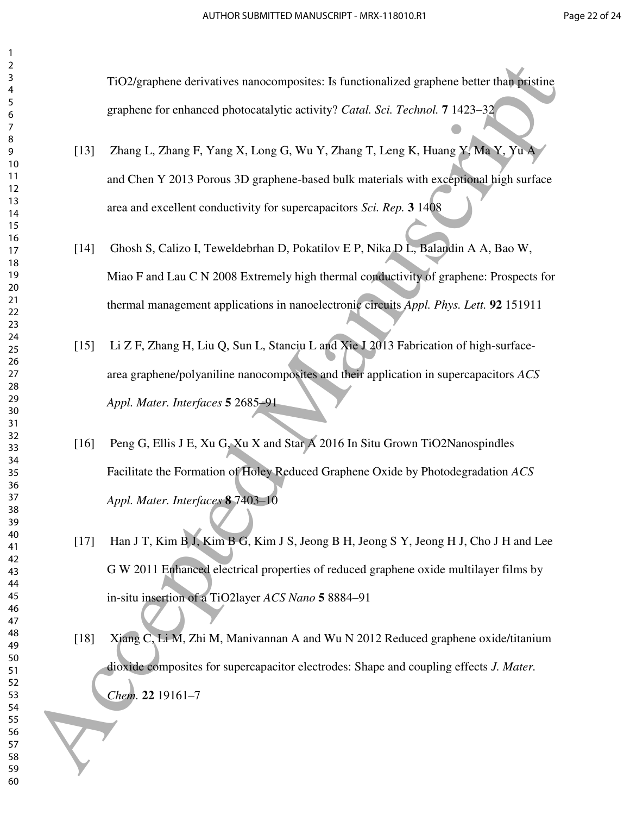TiO2/graphene derivatives nanocomposites: Is functionalized graphene better than pristine graphene for enhanced photocatalytic activity? *Catal. Sci. Technol.* **7** 1423–32

- [13] Zhang L, Zhang F, Yang X, Long G, Wu Y, Zhang T, Leng K, Huang Y, Ma Y, Yu A and Chen Y 2013 Porous 3D graphene-based bulk materials with exceptional high surface area and excellent conductivity for supercapacitors *Sci. Rep.* **3** 1408
- [14] Ghosh S, Calizo I, Teweldebrhan D, Pokatilov E P, Nika D L, Balandin A A, Bao W, Miao F and Lau C N 2008 Extremely high thermal conductivity of graphene: Prospects for thermal management applications in nanoelectronic circuits *Appl. Phys. Lett.* **92** 151911
- [15] Li Z F, Zhang H, Liu Q, Sun L, Stanciu L and Xie J 2013 Fabrication of high-surfacearea graphene/polyaniline nanocomposites and their application in supercapacitors *ACS Appl. Mater. Interfaces* **5** 2685–91
- [16] Peng G, Ellis J E, Xu G, Xu X and Star A 2016 In Situ Grown TiO2Nanospindles Facilitate the Formation of Holey Reduced Graphene Oxide by Photodegradation *ACS Appl. Mater. Interfaces* **8** 7403–10
- [17] Han J T, Kim B J, Kim B G, Kim J S, Jeong B H, Jeong S Y, Jeong H J, Cho J H and Lee G W 2011 Enhanced electrical properties of reduced graphene oxide multilayer films by in-situ insertion of a TiO2layer *ACS Nano* **5** 8884–91 130 Mappleme derivatives ramocomposites 15 (motionalized graphene better that propine<br>
80 Accepted Manuscriptocal photocalalytic activity? Cond. See Termine Manuscriptocal<br>
80 Accepted Manuscriptocal photocalalytic activi
	- [18] Xiang C, Li M, Zhi M, Manivannan A and Wu N 2012 Reduced graphene oxide/titanium dioxide composites for supercapacitor electrodes: Shape and coupling effects *J. Mater. Chem.* **22** 19161–7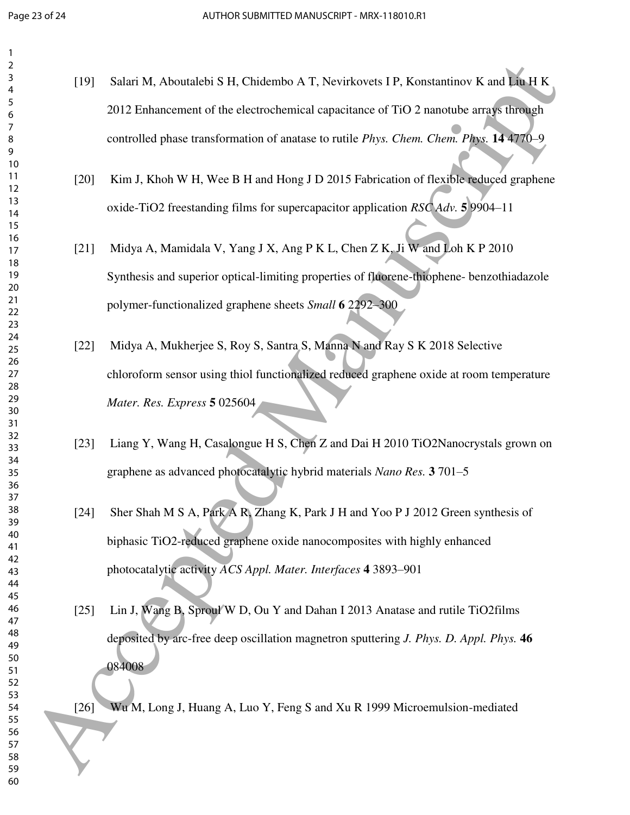| 2        |        |                                                                                               |
|----------|--------|-----------------------------------------------------------------------------------------------|
| 3        | $[19]$ | Salari M, Aboutalebi S H, Chidembo A T, Nevirkovets I P, Konstantinov K and Liu H K           |
| 4<br>5   |        |                                                                                               |
| 6        |        | 2012 Enhancement of the electrochemical capacitance of TiO 2 nanotube arrays through          |
| 7        |        | controlled phase transformation of anatase to rutile <i>Phys. Chem. Chem. Phys.</i> 14 4770–9 |
| 8<br>9   |        |                                                                                               |
| 10       |        |                                                                                               |
| 11<br>12 | $[20]$ | Kim J, Khoh W H, Wee B H and Hong J D 2015 Fabrication of flexible reduced graphene           |
| 13       |        |                                                                                               |
| 14       |        | oxide-TiO2 freestanding films for supercapacitor application RSC Adv. 5 9904-11               |
| 15<br>16 |        |                                                                                               |
| 17       | $[21]$ | Midya A, Mamidala V, Yang J X, Ang P K L, Chen Z K, Ji W and Loh K P 2010                     |
| 18       |        |                                                                                               |
| 19<br>20 |        | Synthesis and superior optical-limiting properties of fluorene-thiophene- benzothiadazole     |
| 21       |        | polymer-functionalized graphene sheets Small 6 2292-300                                       |
| 22<br>23 |        |                                                                                               |
| 24       |        |                                                                                               |
| 25       | $[22]$ | Midya A, Mukherjee S, Roy S, Santra S, Manna N and Ray S K 2018 Selective                     |
| 26<br>27 |        | chloroform sensor using thiol functionalized reduced graphene oxide at room temperature       |
| 28       |        |                                                                                               |
| 29<br>30 |        | Mater. Res. Express 5 025604                                                                  |
| 31       |        |                                                                                               |
| 32       | $[23]$ | Liang Y, Wang H, Casalongue H S, Chen Z and Dai H 2010 TiO2Nanocrystals grown on              |
| 33<br>34 |        |                                                                                               |
| 35       |        | graphene as advanced photocatalytic hybrid materials Nano Res. 3 701-5                        |
| 36<br>37 |        |                                                                                               |
| 38       | $[24]$ | Sher Shah M S A, Park A R, Zhang K, Park J H and Yoo P J 2012 Green synthesis of              |
| 39       |        |                                                                                               |
| 40<br>41 |        | biphasic TiO2-reduced graphene oxide nanocomposites with highly enhanced                      |
| 42       |        |                                                                                               |
| 43<br>44 |        | photocatalytic activity ACS Appl. Mater. Interfaces 4 3893-901                                |
| 45       |        |                                                                                               |
| 46       | $[25]$ | Lin J, Wang B, Sproul W D, Ou Y and Dahan I 2013 Anatase and rutile TiO2films                 |
| 47<br>48 |        |                                                                                               |
| 49       |        | deposited by arc-free deep oscillation magnetron sputtering <i>J. Phys. D. Appl. Phys.</i> 46 |
| 50<br>51 |        | 084008                                                                                        |
| 52       |        |                                                                                               |
| 53       |        |                                                                                               |
| 54<br>55 | $[26]$ | Wu M, Long J, Huang A, Luo Y, Feng S and Xu R 1999 Microemulsion-mediated                     |
| 56       |        |                                                                                               |
| 57<br>58 |        |                                                                                               |
| 59       |        |                                                                                               |
| 60       |        |                                                                                               |